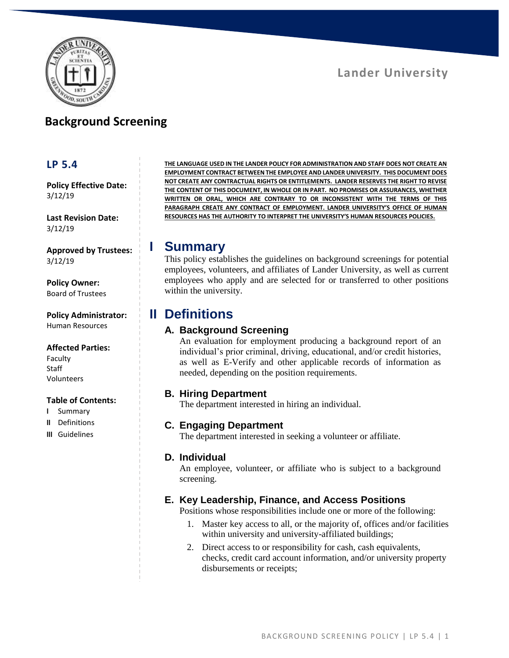

## **Background Screening**

### **LP 5.4**

**Policy Effective Date:** 3/12/19

**Last Revision Date:** 3/12/19

**Approved by Trustees:** 3/12/19

**Policy Owner:** Board of Trustees

**Policy Administrator:** Human Resources

#### **Affected Parties:**

Faculty **Staff** Volunteers

#### **Table of Contents:**

- **I** Summary
- **II** Definitions
- **III** Guidelines

**THE LANGUAGE USED IN THE LANDER POLICY FOR ADMINISTRATION AND STAFF DOES NOT CREATE AN EMPLOYMENT CONTRACT BETWEEN THE EMPLOYEE AND LANDER UNIVERSITY. THIS DOCUMENT DOES NOT CREATE ANY CONTRACTUAL RIGHTS OR ENTITLEMENTS. LANDER RESERVES THE RIGHT TO REVISE THE CONTENT OF THIS DOCUMENT, IN WHOLE OR IN PART. NO PROMISES OR ASSURANCES, WHETHER WRITTEN OR ORAL, WHICH ARE CONTRARY TO OR INCONSISTENT WITH THE TERMS OF THIS PARAGRAPH CREATE ANY CONTRACT OF EMPLOYMENT. LANDER UNIVERSITY'S OFFICE OF HUMAN RESOURCES HAS THE AUTHORITY TO INTERPRET THE UNIVERSITY'S HUMAN RESOURCES POLICIES.**

### **I Summary**

This policy establishes the guidelines on background screenings for potential employees, volunteers, and affiliates of Lander University, as well as current employees who apply and are selected for or transferred to other positions within the university.

## **II Definitions**

### **A. Background Screening**

An evaluation for employment producing a background report of an individual's prior criminal, driving, educational, and/or credit histories, as well as E-Verify and other applicable records of information as needed, depending on the position requirements.

### **B. Hiring Department**

The department interested in hiring an individual.

### **C. Engaging Department**

The department interested in seeking a volunteer or affiliate.

### **D. Individual**

An employee, volunteer, or affiliate who is subject to a background screening.

### **E. Key Leadership, Finance, and Access Positions**

Positions whose responsibilities include one or more of the following:

- 1. Master key access to all, or the majority of, offices and/or facilities within university and university-affiliated buildings;
- 2. Direct access to or responsibility for cash, cash equivalents, checks, credit card account information, and/or university property disbursements or receipts;

# **Lander University**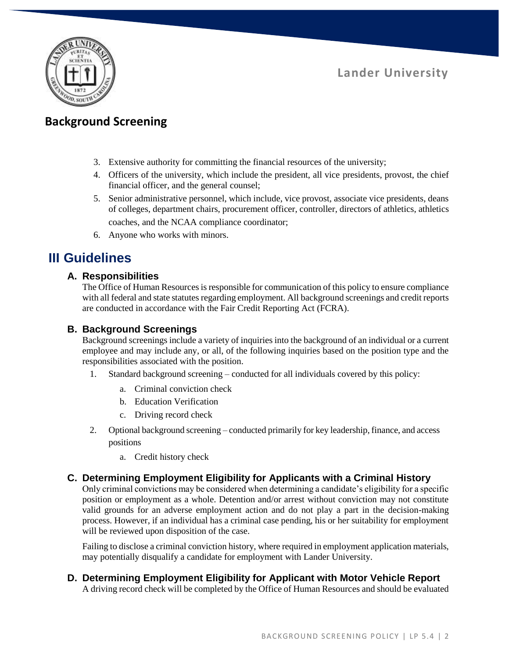

**Lander University**

## **Background Screening**

- 3. Extensive authority for committing the financial resources of the university;
- 4. Officers of the university, which include the president, all vice presidents, provost, the chief financial officer, and the general counsel;
- 5. Senior administrative personnel, which include, vice provost, associate vice presidents, deans of colleges, department chairs, procurement officer, controller, directors of athletics, athletics coaches, and the NCAA compliance coordinator;
- 6. Anyone who works with minors.

## **III Guidelines**

### **A. Responsibilities**

The Office of Human Resources is responsible for communication of this policy to ensure compliance with all federal and state statutes regarding employment. All background screenings and credit reports are conducted in accordance with the Fair Credit Reporting Act (FCRA).

### **B. Background Screenings**

Background screenings include a variety of inquiries into the background of an individual or a current employee and may include any, or all, of the following inquiries based on the position type and the responsibilities associated with the position.

- 1. Standard background screening conducted for all individuals covered by this policy:
	- a. Criminal conviction check
	- b. Education Verification
	- c. Driving record check
- 2. Optional background screening conducted primarily for key leadership, finance, and access positions
	- a. Credit history check

### **C. Determining Employment Eligibility for Applicants with a Criminal History**

Only criminal convictions may be considered when determining a candidate's eligibility for a specific position or employment as a whole. Detention and/or arrest without conviction may not constitute valid grounds for an adverse employment action and do not play a part in the decision-making process. However, if an individual has a criminal case pending, his or her suitability for employment will be reviewed upon disposition of the case.

Failing to disclose a criminal conviction history, where required in employment application materials, may potentially disqualify a candidate for employment with Lander University.

### **D. Determining Employment Eligibility for Applicant with Motor Vehicle Report**

A driving record check will be completed by the Office of Human Resources and should be evaluated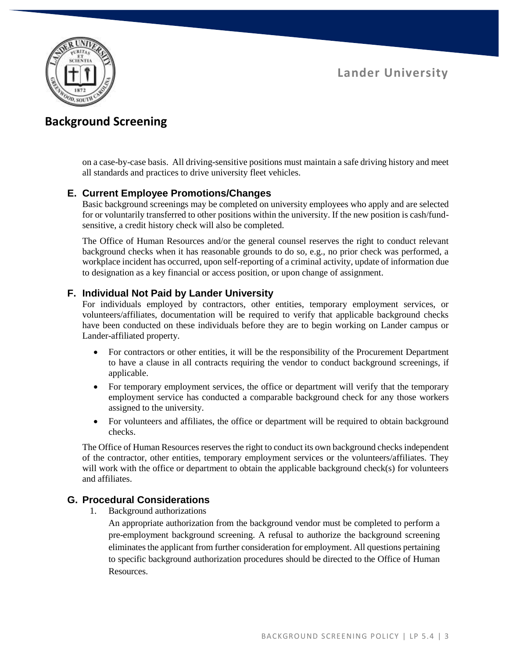**Lander University**



## **Background Screening**

on a case-by-case basis. All driving-sensitive positions must maintain a safe driving history and meet all standards and practices to drive university fleet vehicles.

### **E. Current Employee Promotions/Changes**

Basic background screenings may be completed on university employees who apply and are selected for or voluntarily transferred to other positions within the university. If the new position is cash/fundsensitive, a credit history check will also be completed.

The Office of Human Resources and/or the general counsel reserves the right to conduct relevant background checks when it has reasonable grounds to do so, e.g., no prior check was performed, a workplace incident has occurred, upon self-reporting of a criminal activity, update of information due to designation as a key financial or access position, or upon change of assignment.

### **F. Individual Not Paid by Lander University**

For individuals employed by contractors, other entities, temporary employment services, or volunteers/affiliates, documentation will be required to verify that applicable background checks have been conducted on these individuals before they are to begin working on Lander campus or Lander-affiliated property.

- For contractors or other entities, it will be the responsibility of the Procurement Department to have a clause in all contracts requiring the vendor to conduct background screenings, if applicable.
- For temporary employment services, the office or department will verify that the temporary employment service has conducted a comparable background check for any those workers assigned to the university.
- For volunteers and affiliates, the office or department will be required to obtain background checks.

The Office of Human Resources reserves the right to conduct its own background checks independent of the contractor, other entities, temporary employment services or the volunteers/affiliates. They will work with the office or department to obtain the applicable background check(s) for volunteers and affiliates.

### **G. Procedural Considerations**

1. Background authorizations

An appropriate authorization from the background vendor must be completed to perform a pre-employment background screening. A refusal to authorize the background screening eliminates the applicant from further consideration for employment. All questions pertaining to specific background authorization procedures should be directed to the Office of Human Resources.